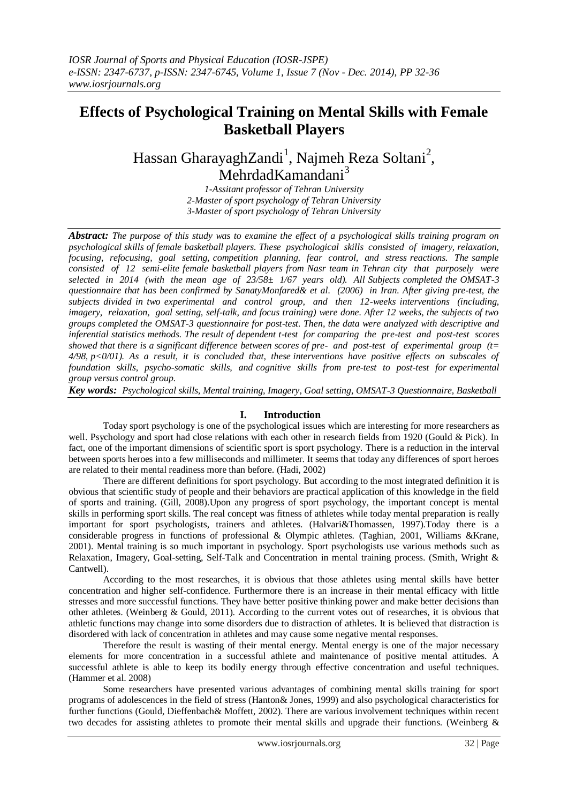# **Effects of Psychological Training on Mental Skills with Female Basketball Players**

# Hassan GharayaghZandi<sup>1</sup>, Najmeh Reza Soltani<sup>2</sup>, MehrdadKamandani<sup>3</sup>

*1-Assitant professor of Tehran University 2-Master of sport psychology of Tehran University 3-Master of sport psychology of Tehran University*

*Abstract: The purpose of this study was to examine the effect of a psychological skills training program on psychological skills of female basketball players. These psychological skills consisted of imagery, relaxation, focusing, refocusing, goal setting, competition planning, fear control, and stress reactions. The sample consisted of 12 semi-elite female basketball players from Nasr team in Tehran city that purposely were selected in 2014 (with the mean age of 23/58± 1/67 years old). All Subjects completed the OMSAT-3 questionnaire that has been confirmed by SanatyMonfared& et al. (2006) in Iran. After giving pre-test, the subjects divided in two experimental and control group, and then 12-weeks interventions (including, imagery, relaxation, goal setting, self-talk, and focus training) were done. After 12 weeks, the subjects of two groups completed the OMSAT-3 questionnaire for post-test. Then, the data were analyzed with descriptive and inferential statistics methods. The result of dependent t-test for comparing the pre-test and post-test scores showed that there is a significant difference between scores of pre- and post-test of experimental group (t= 4/98, p<0/01). As a result, it is concluded that, these interventions have positive effects on subscales of foundation skills, psycho-somatic skills, and cognitive skills from pre-test to post-test for experimental group versus control group.* 

*Key words: Psychological skills, Mental training, Imagery, Goal setting, OMSAT-3 Questionnaire, Basketball*

### **I. Introduction**

Today sport psychology is one of the psychological issues which are interesting for more researchers as well. Psychology and sport had close relations with each other in research fields from 1920 (Gould & Pick). In fact, one of the important dimensions of scientific sport is sport psychology. There is a reduction in the interval between sports heroes into a few milliseconds and millimeter. It seems that today any differences of sport heroes are related to their mental readiness more than before. (Hadi, 2002)

There are different definitions for sport psychology. But according to the most integrated definition it is obvious that scientific study of people and their behaviors are practical application of this knowledge in the field of sports and training. (Gill, 2008).Upon any progress of sport psychology, the important concept is mental skills in performing sport skills. The real concept was fitness of athletes while today mental preparation is really important for sport psychologists, trainers and athletes. (Halvari&Thomassen, 1997).Today there is a considerable progress in functions of professional & Olympic athletes. (Taghian, 2001, Williams &Krane, 2001). Mental training is so much important in psychology. Sport psychologists use various methods such as Relaxation, Imagery, Goal-setting, Self-Talk and Concentration in mental training process. (Smith, Wright & Cantwell).

According to the most researches, it is obvious that those athletes using mental skills have better concentration and higher self-confidence. Furthermore there is an increase in their mental efficacy with little stresses and more successful functions. They have better positive thinking power and make better decisions than other athletes. (Weinberg & Gould, 2011). According to the current votes out of researches, it is obvious that athletic functions may change into some disorders due to distraction of athletes. It is believed that distraction is disordered with lack of concentration in athletes and may cause some negative mental responses.

Therefore the result is wasting of their mental energy. Mental energy is one of the major necessary elements for more concentration in a successful athlete and maintenance of positive mental attitudes. A successful athlete is able to keep its bodily energy through effective concentration and useful techniques. (Hammer et al. 2008)

Some researchers have presented various advantages of combining mental skills training for sport programs of adolescences in the field of stress (Hanton& Jones, 1999) and also psychological characteristics for further functions (Gould, Dieffenbach& Moffett, 2002). There are various involvement techniques within recent two decades for assisting athletes to promote their mental skills and upgrade their functions. (Weinberg &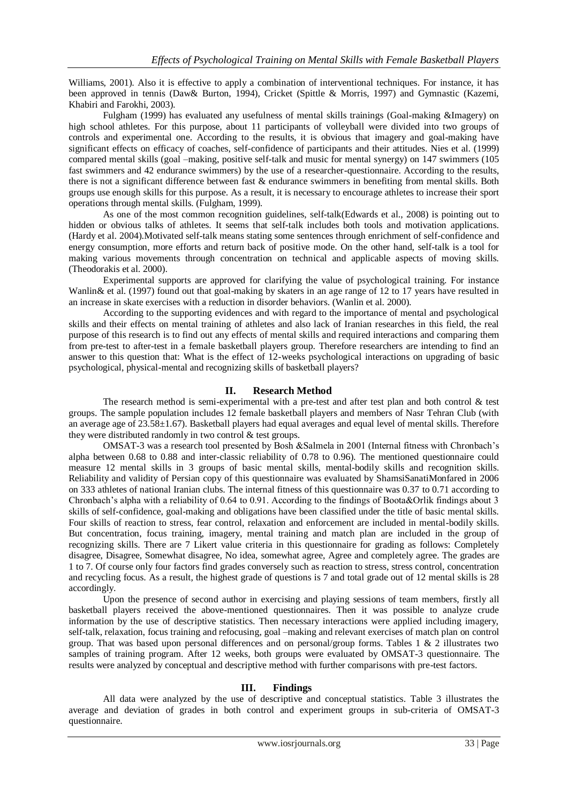Williams, 2001). Also it is effective to apply a combination of interventional techniques. For instance, it has been approved in tennis (Daw& Burton, 1994), Cricket (Spittle & Morris, 1997) and Gymnastic (Kazemi, Khabiri and Farokhi, 2003).

Fulgham (1999) has evaluated any usefulness of mental skills trainings (Goal-making &Imagery) on high school athletes. For this purpose, about 11 participants of volleyball were divided into two groups of controls and experimental one. According to the results, it is obvious that imagery and goal-making have significant effects on efficacy of coaches, self-confidence of participants and their attitudes. Nies et al. (1999) compared mental skills (goal –making, positive self-talk and music for mental synergy) on 147 swimmers (105 fast swimmers and 42 endurance swimmers) by the use of a researcher-questionnaire. According to the results, there is not a significant difference between fast & endurance swimmers in benefiting from mental skills. Both groups use enough skills for this purpose. As a result, it is necessary to encourage athletes to increase their sport operations through mental skills. (Fulgham, 1999).

As one of the most common recognition guidelines, self-talk(Edwards et al., 2008) is pointing out to hidden or obvious talks of athletes. It seems that self-talk includes both tools and motivation applications. (Hardy et al. 2004).Motivated self-talk means stating some sentences through enrichment of self-confidence and energy consumption, more efforts and return back of positive mode. On the other hand, self-talk is a tool for making various movements through concentration on technical and applicable aspects of moving skills. (Theodorakis et al. 2000).

Experimental supports are approved for clarifying the value of psychological training. For instance Wanlin& et al. (1997) found out that goal-making by skaters in an age range of 12 to 17 years have resulted in an increase in skate exercises with a reduction in disorder behaviors. (Wanlin et al. 2000).

According to the supporting evidences and with regard to the importance of mental and psychological skills and their effects on mental training of athletes and also lack of Iranian researches in this field, the real purpose of this research is to find out any effects of mental skills and required interactions and comparing them from pre-test to after-test in a female basketball players group. Therefore researchers are intending to find an answer to this question that: What is the effect of 12-weeks psychological interactions on upgrading of basic psychological, physical-mental and recognizing skills of basketball players?

### **II. Research Method**

The research method is semi-experimental with a pre-test and after test plan and both control & test groups. The sample population includes 12 female basketball players and members of Nasr Tehran Club (with an average age of  $23.58\pm1.67$ ). Basketball players had equal averages and equal level of mental skills. Therefore they were distributed randomly in two control & test groups.

OMSAT-3 was a research tool presented by Bosh &Salmela in 2001 (Internal fitness with Chronbach's alpha between 0.68 to 0.88 and inter-classic reliability of 0.78 to 0.96). The mentioned questionnaire could measure 12 mental skills in 3 groups of basic mental skills, mental-bodily skills and recognition skills. Reliability and validity of Persian copy of this questionnaire was evaluated by ShamsiSanatiMonfared in 2006 on 333 athletes of national Iranian clubs. The internal fitness of this questionnaire was 0.37 to 0.71 according to Chronbach's alpha with a reliability of 0.64 to 0.91. According to the findings of Boota&Orlik findings about 3 skills of self-confidence, goal-making and obligations have been classified under the title of basic mental skills. Four skills of reaction to stress, fear control, relaxation and enforcement are included in mental-bodily skills. But concentration, focus training, imagery, mental training and match plan are included in the group of recognizing skills. There are 7 Likert value criteria in this questionnaire for grading as follows: Completely disagree, Disagree, Somewhat disagree, No idea, somewhat agree, Agree and completely agree. The grades are 1 to 7. Of course only four factors find grades conversely such as reaction to stress, stress control, concentration and recycling focus. As a result, the highest grade of questions is 7 and total grade out of 12 mental skills is 28 accordingly.

Upon the presence of second author in exercising and playing sessions of team members, firstly all basketball players received the above-mentioned questionnaires. Then it was possible to analyze crude information by the use of descriptive statistics. Then necessary interactions were applied including imagery, self-talk, relaxation, focus training and refocusing, goal –making and relevant exercises of match plan on control group. That was based upon personal differences and on personal/group forms. Tables  $1 \& 2$  illustrates two samples of training program. After 12 weeks, both groups were evaluated by OMSAT-3 questionnaire. The results were analyzed by conceptual and descriptive method with further comparisons with pre-test factors.

### **III. Findings**

All data were analyzed by the use of descriptive and conceptual statistics. Table 3 illustrates the average and deviation of grades in both control and experiment groups in sub-criteria of OMSAT-3 questionnaire.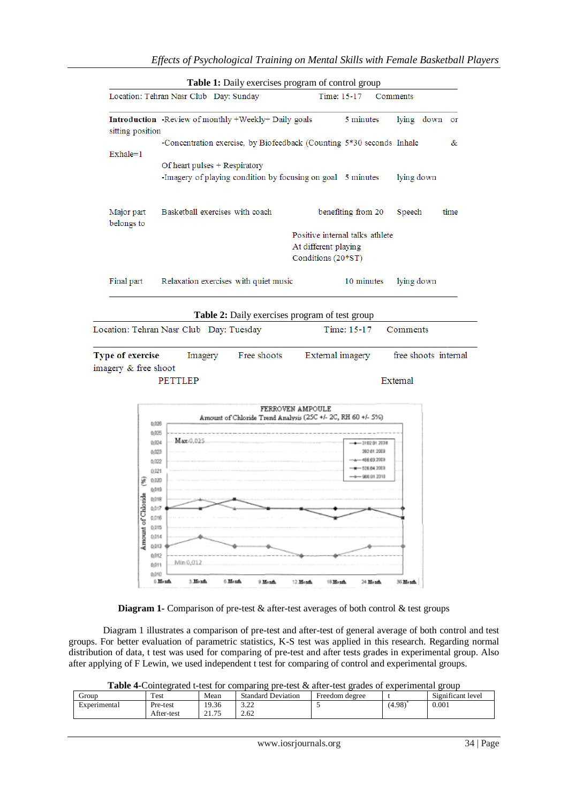|                          | Location: Tehran Nasr Club Day: Sunday                                                                              | Time: 15-17<br>Comments               |                      |
|--------------------------|---------------------------------------------------------------------------------------------------------------------|---------------------------------------|----------------------|
| sitting position         | Introduction -Review of monthly +Weekly+ Daily goals                                                                | 5 minutes                             | lying down<br>or     |
| $Exhale=1$               | -Concentration exercise, by Biofeedback (Counting 5*30 seconds Inhale                                               |                                       | &                    |
|                          | Of heart pulses + Respiratory                                                                                       |                                       |                      |
|                          | -Imagery of playing condition by focusing on goal 5 minutes                                                         |                                       | lying down           |
| Major part<br>belongs to | Basketball exercises with coach                                                                                     | benefiting from 20                    | Speech<br>time       |
|                          |                                                                                                                     | Positive internal talks athlete       |                      |
|                          |                                                                                                                     | At different playing                  |                      |
|                          |                                                                                                                     | Conditions (20*ST)                    |                      |
| Final part               | Relaxation exercises with quiet music                                                                               | 10 minutes                            | lying down           |
| Type of exercise         | Table 2: Daily exercises program of test group<br>Location: Tehran Nasr Club Day: Tuesday<br>Free shoots<br>Imagery | Time: 15-17<br>External imagery       | Comments             |
| imagery & free shoot     | <b>PETTLEP</b>                                                                                                      | External                              |                      |
|                          | Amount of Chloride Trend Analysis (25C +/- 2C, RH 60 +/- 5%)                                                        | FERROVEN AMPOULE                      |                      |
|                          | 0,026<br>0,025                                                                                                      |                                       |                      |
|                          | Maxi0,025.<br>0,024                                                                                                 | $-310201.2008$                        |                      |
|                          | 0,023                                                                                                               | 392.01.2009                           |                      |
|                          | 0,022<br>0.021                                                                                                      | $+ - 486.63.2009$<br>$ -$ 526.04.2000 |                      |
|                          | 0,020                                                                                                               | $-4 - 96601.2010$                     |                      |
|                          | 0,019                                                                                                               |                                       |                      |
| រថ្មី<br>ថ្ម             | 0,018<br>0,017                                                                                                      |                                       |                      |
|                          | 0,016                                                                                                               |                                       |                      |
|                          | 0,015                                                                                                               |                                       |                      |
| Amount of Chi            | 0,014<br>0,013                                                                                                      |                                       |                      |
|                          | 0,012<br>Min 0,012                                                                                                  |                                       |                      |
|                          | 0,011<br>0.010                                                                                                      |                                       | free shoots internal |

**Diagram 1-** Comparison of pre-test & after-test averages of both control & test groups

Diagram 1 illustrates a comparison of pre-test and after-test of general average of both control and test groups. For better evaluation of parametric statistics, K-S test was applied in this research. Regarding normal distribution of data, t test was used for comparing of pre-test and after tests grades in experimental group. Also after applying of F Lewin, we used independent t test for comparing of control and experimental groups.

Table 4-Cointegrated t-test for comparing pre-test & after-test grades of experimental group

| droup                                    | Test       | Mean           | <b>Standard Deviation</b> | Freedom degree |        | $\cdot$<br>$\sim$<br>Significant level |
|------------------------------------------|------------|----------------|---------------------------|----------------|--------|----------------------------------------|
| $\overline{\phantom{0}}$<br>Experimental | Pre-test   | 19.36<br>9.36  | $\sim$                    |                | (4.98) | 0.001                                  |
|                                          | After-test | 01.77<br>21.13 | 2.62                      |                |        |                                        |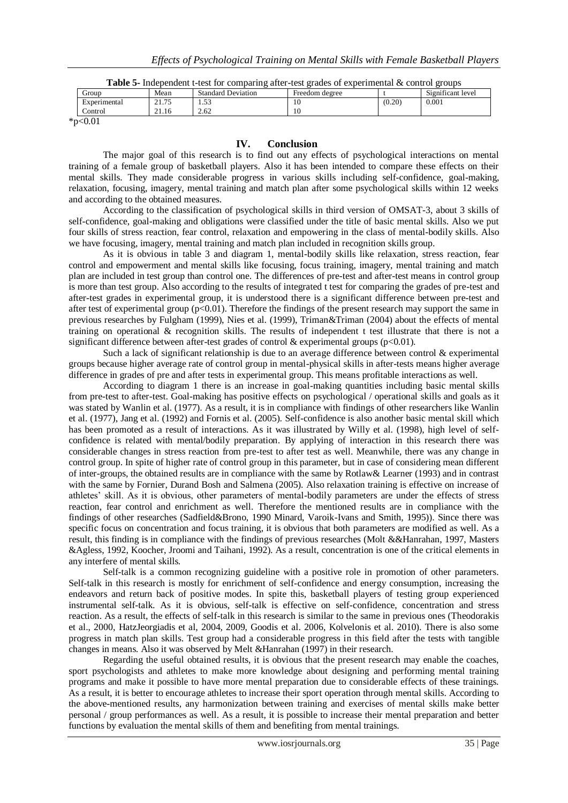| <b>Table 5-</b> Independent t-test for comparing after-test grades of experimental $\&$ control groups |       |                           |                |        |                   |  |  |  |
|--------------------------------------------------------------------------------------------------------|-------|---------------------------|----------------|--------|-------------------|--|--|--|
| Group                                                                                                  | Mean  | <b>Standard Deviation</b> | Freedom degree |        | Significant level |  |  |  |
| Experimental                                                                                           | 21.75 | . 53                      | 10             | (0.20) | 0.001             |  |  |  |
| Control                                                                                                | 21.16 | 2.62                      | 10             |        |                   |  |  |  |
| $\mathbf{a}$                                                                                           |       |                           |                |        |                   |  |  |  |

 $*p<0.01$ 

#### **IV. Conclusion**

The major goal of this research is to find out any effects of psychological interactions on mental training of a female group of basketball players. Also it has been intended to compare these effects on their mental skills. They made considerable progress in various skills including self-confidence, goal-making, relaxation, focusing, imagery, mental training and match plan after some psychological skills within 12 weeks and according to the obtained measures.

According to the classification of psychological skills in third version of OMSAT-3, about 3 skills of self-confidence, goal-making and obligations were classified under the title of basic mental skills. Also we put four skills of stress reaction, fear control, relaxation and empowering in the class of mental-bodily skills. Also we have focusing, imagery, mental training and match plan included in recognition skills group.

As it is obvious in table 3 and diagram 1, mental-bodily skills like relaxation, stress reaction, fear control and empowerment and mental skills like focusing, focus training, imagery, mental training and match plan are included in test group than control one. The differences of pre-test and after-test means in control group is more than test group. Also according to the results of integrated t test for comparing the grades of pre-test and after-test grades in experimental group, it is understood there is a significant difference between pre-test and after test of experimental group (p<0.01). Therefore the findings of the present research may support the same in previous researches by Fulgham (1999), Nies et al. (1999), Triman&Triman (2004) about the effects of mental training on operational & recognition skills. The results of independent t test illustrate that there is not a significant difference between after-test grades of control  $\&$  experimental groups (p<0.01).

Such a lack of significant relationship is due to an average difference between control & experimental groups because higher average rate of control group in mental-physical skills in after-tests means higher average difference in grades of pre and after tests in experimental group. This means profitable interactions as well.

According to diagram 1 there is an increase in goal-making quantities including basic mental skills from pre-test to after-test. Goal-making has positive effects on psychological / operational skills and goals as it was stated by Wanlin et al. (1977). As a result, it is in compliance with findings of other researchers like Wanlin et al. (1977), Jang et al. (1992) and Fornis et al. (2005). Self-confidence is also another basic mental skill which has been promoted as a result of interactions. As it was illustrated by Willy et al. (1998), high level of selfconfidence is related with mental/bodily preparation. By applying of interaction in this research there was considerable changes in stress reaction from pre-test to after test as well. Meanwhile, there was any change in control group. In spite of higher rate of control group in this parameter, but in case of considering mean different of inter-groups, the obtained results are in compliance with the same by Rotlaw& Learner (1993) and in contrast with the same by Fornier, Durand Bosh and Salmena (2005). Also relaxation training is effective on increase of athletes' skill. As it is obvious, other parameters of mental-bodily parameters are under the effects of stress reaction, fear control and enrichment as well. Therefore the mentioned results are in compliance with the findings of other researches (Sadfield&Brono, 1990 Minard, Varoik-Ivans and Smith, 1995)). Since there was specific focus on concentration and focus training, it is obvious that both parameters are modified as well. As a result, this finding is in compliance with the findings of previous researches (Molt &&Hanrahan, 1997, Masters &Agless, 1992, Koocher, Jroomi and Taihani, 1992). As a result, concentration is one of the critical elements in any interfere of mental skills.

Self-talk is a common recognizing guideline with a positive role in promotion of other parameters. Self-talk in this research is mostly for enrichment of self-confidence and energy consumption, increasing the endeavors and return back of positive modes. In spite this, basketball players of testing group experienced instrumental self-talk. As it is obvious, self-talk is effective on self-confidence, concentration and stress reaction. As a result, the effects of self-talk in this research is similar to the same in previous ones (Theodorakis et al., 2000, HatzJeorgiadis et al, 2004, 2009, Goodis et al. 2006, Kolvelonis et al. 2010). There is also some progress in match plan skills. Test group had a considerable progress in this field after the tests with tangible changes in means. Also it was observed by Melt &Hanrahan (1997) in their research.

Regarding the useful obtained results, it is obvious that the present research may enable the coaches, sport psychologists and athletes to make more knowledge about designing and performing mental training programs and make it possible to have more mental preparation due to considerable effects of these trainings. As a result, it is better to encourage athletes to increase their sport operation through mental skills. According to the above-mentioned results, any harmonization between training and exercises of mental skills make better personal / group performances as well. As a result, it is possible to increase their mental preparation and better functions by evaluation the mental skills of them and benefiting from mental trainings.